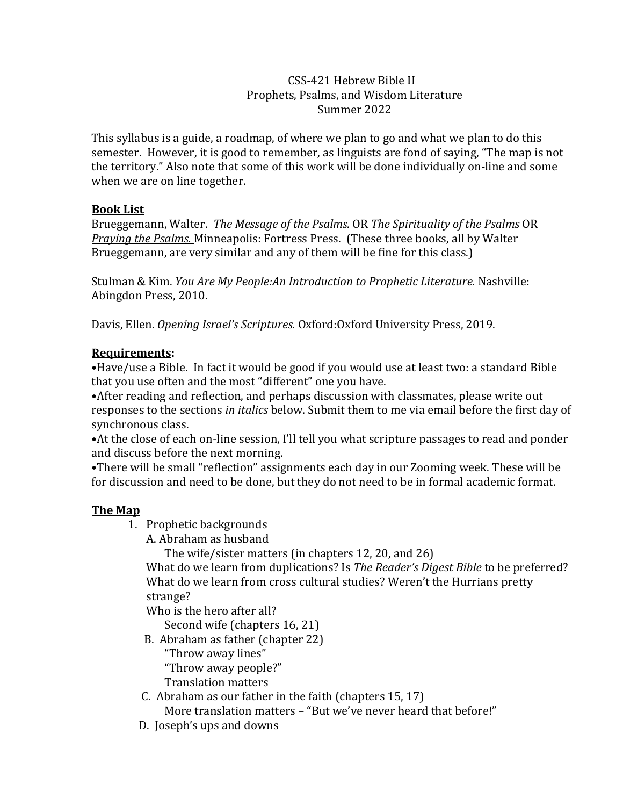#### CSS-421 Hebrew Bible II Prophets, Psalms, and Wisdom Literature Summer 2022

This syllabus is a guide, a roadmap, of where we plan to go and what we plan to do this semester. However, it is good to remember, as linguists are fond of saying, "The map is not the territory." Also note that some of this work will be done individually on-line and some when we are on line together.

## **Book List**

Brueggemann, Walter. *The Message of the Psalms.* OR *The Spirituality of the Psalms* OR *Praying the Psalms.* Minneapolis: Fortress Press. (These three books, all by Walter Brueggemann, are very similar and any of them will be fine for this class.)

Stulman & Kim. *You Are My People:An Introduction to Prophetic Literature.* Nashville: Abingdon Press, 2010.

Davis, Ellen. *Opening Israel's Scriptures.* Oxford:Oxford University Press, 2019.

## **Requirements:**

•Have/use a Bible. In fact it would be good if you would use at least two: a standard Bible that you use often and the most "different" one you have.

•After reading and reflection, and perhaps discussion with classmates, please write out responses to the sections *in italics* below. Submit them to me via email before the first day of synchronous class.

•At the close of each on-line session, I'll tell you what scripture passages to read and ponder and discuss before the next morning.

•There will be small "reflection" assignments each day in our Zooming week. These will be for discussion and need to be done, but they do not need to be in formal academic format.

# **The Map**

- 1. Prophetic backgrounds
	- A. Abraham as husband

The wife/sister matters (in chapters 12, 20, and 26)

What do we learn from duplications? Is *The Reader's Digest Bible* to be preferred? What do we learn from cross cultural studies? Weren't the Hurrians pretty strange?

Who is the hero after all?

Second wife (chapters 16, 21)

B. Abraham as father (chapter 22)

"Throw away lines"

"Throw away people?"

Translation matters

C. Abraham as our father in the faith (chapters 15, 17)

More translation matters – "But we've never heard that before!"

D. Joseph's ups and downs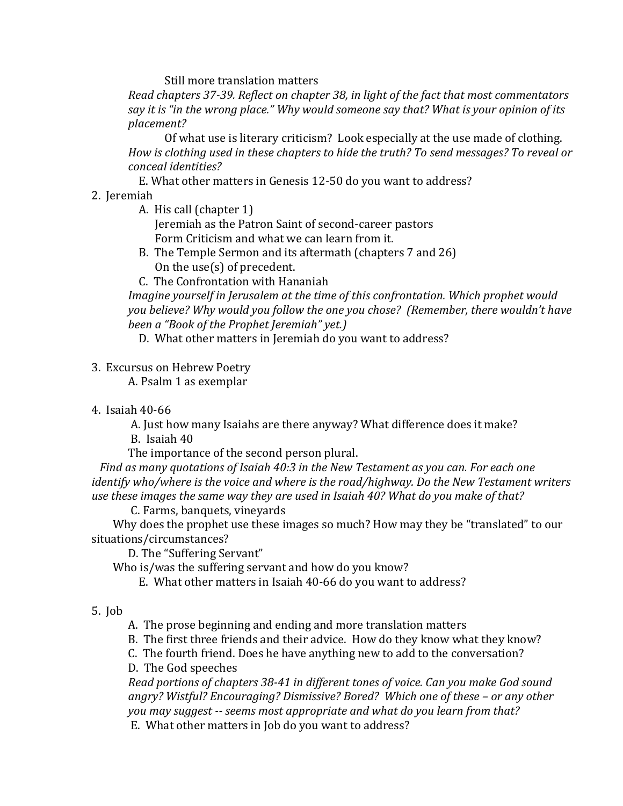Still more translation matters

*Read chapters 37-39. Reflect on chapter 38, in light of the fact that most commentators say it is "in the wrong place." Why would someone say that? What is your opinion of its placement?*

Of what use is literary criticism? Look especially at the use made of clothing. *How is clothing used in these chapters to hide the truth? To send messages? To reveal or conceal identities?*

E. What other matters in Genesis 12-50 do you want to address?

## 2. Jeremiah

- A. His call (chapter 1) Jeremiah as the Patron Saint of second-career pastors Form Criticism and what we can learn from it.
- B. The Temple Sermon and its aftermath (chapters 7 and 26) On the use(s) of precedent.
- C. The Confrontation with Hananiah

*Imagine yourself in Jerusalem at the time of this confrontation. Which prophet would you believe? Why would you follow the one you chose? (Remember, there wouldn't have been a "Book of the Prophet Jeremiah" yet.)*

D. What other matters in Jeremiah do you want to address?

3. Excursus on Hebrew Poetry

A. Psalm 1 as exemplar

4. Isaiah 40-66

A. Just how many Isaiahs are there anyway? What difference does it make?

B. Isaiah 40

The importance of the second person plural.

 *Find as many quotations of Isaiah 40:3 in the New Testament as you can. For each one identify who/where is the voice and where is the road/highway. Do the New Testament writers use these images the same way they are used in Isaiah 40? What do you make of that?*

C. Farms, banquets, vineyards

 Why does the prophet use these images so much? How may they be "translated" to our situations/circumstances?

D. The "Suffering Servant"

Who is/was the suffering servant and how do you know?

E. What other matters in Isaiah 40-66 do you want to address?

5. Job

A. The prose beginning and ending and more translation matters

B. The first three friends and their advice. How do they know what they know?

C. The fourth friend. Does he have anything new to add to the conversation?

D. The God speeches

*Read portions of chapters 38-41 in different tones of voice. Can you make God sound angry? Wistful? Encouraging? Dismissive? Bored? Which one of these – or any other you may suggest -- seems most appropriate and what do you learn from that?*

E. What other matters in Job do you want to address?